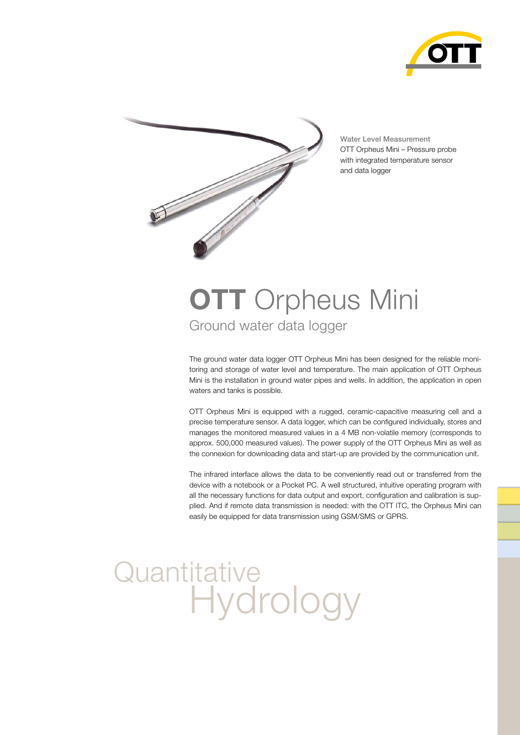



Water Level Measurement OTT Orpheus Mini – Pressure probe with integrated temperature sensor and data logger

## Ground water data logger **OTT** Orpheus Mini

The ground water data logger OTT Orpheus Mini has been designed for the reliable monitoring and storage of water level and temperature. The main application of OTT Orpheus Mini is the installation in ground water pipes and wells. In addition, the application in open waters and tanks is possible.

OTT Orpheus Mini is equipped with a rugged, ceramic-capacitive measuring cell and a precise temperature sensor. A data logger, which can be configured individually, stores and manages the monitored measured values in a 4 MB non-volatile memory (corresponds to approx. 500,000 measured values). The power supply of the OTT Orpheus Mini as well as the connexion for downloading data and start-up are provided by the communication unit.

The infrared interface allows the data to be conveniently read out or transferred from the device with a notebook or a Pocket PC. A well structured, intuitive operating program with all the necessary functions for data output and export, configuration and calibration is supplied. And if remote data transmission is needed: with the OTT ITC, the Orpheus Mini can easily be equipped for data transmission using GSM/SMS or GPRS.

# **Quantitative Hydrology**